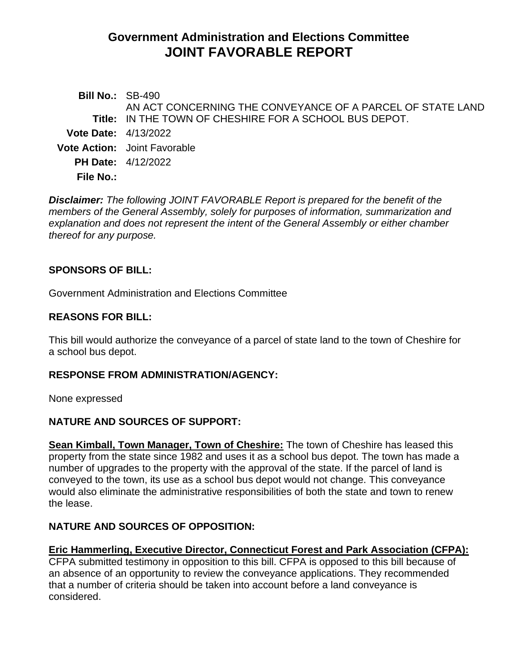# **Government Administration and Elections Committee JOINT FAVORABLE REPORT**

| <b>Bill No.: SB-490</b>       | AN ACT CONCERNING THE CONVEYANCE OF A PARCEL OF STATE LAND    |
|-------------------------------|---------------------------------------------------------------|
|                               | <b>Title: IN THE TOWN OF CHESHIRE FOR A SCHOOL BUS DEPOT.</b> |
| <b>Vote Date:</b> $4/13/2022$ |                                                               |
|                               | <b>Vote Action:</b> Joint Favorable                           |
|                               | <b>PH Date: 4/12/2022</b>                                     |
| File No.:                     |                                                               |
|                               |                                                               |

*Disclaimer: The following JOINT FAVORABLE Report is prepared for the benefit of the members of the General Assembly, solely for purposes of information, summarization and explanation and does not represent the intent of the General Assembly or either chamber thereof for any purpose.*

### **SPONSORS OF BILL:**

Government Administration and Elections Committee

#### **REASONS FOR BILL:**

This bill would authorize the conveyance of a parcel of state land to the town of Cheshire for a school bus depot.

#### **RESPONSE FROM ADMINISTRATION/AGENCY:**

None expressed

# **NATURE AND SOURCES OF SUPPORT:**

**Sean Kimball, Town Manager, Town of Cheshire:** The town of Cheshire has leased this property from the state since 1982 and uses it as a school bus depot. The town has made a number of upgrades to the property with the approval of the state. If the parcel of land is conveyed to the town, its use as a school bus depot would not change. This conveyance would also eliminate the administrative responsibilities of both the state and town to renew the lease.

# **NATURE AND SOURCES OF OPPOSITION:**

# **Eric Hammerling, Executive Director, Connecticut Forest and Park Association (CFPA):**

CFPA submitted testimony in opposition to this bill. CFPA is opposed to this bill because of an absence of an opportunity to review the conveyance applications. They recommended that a number of criteria should be taken into account before a land conveyance is considered.